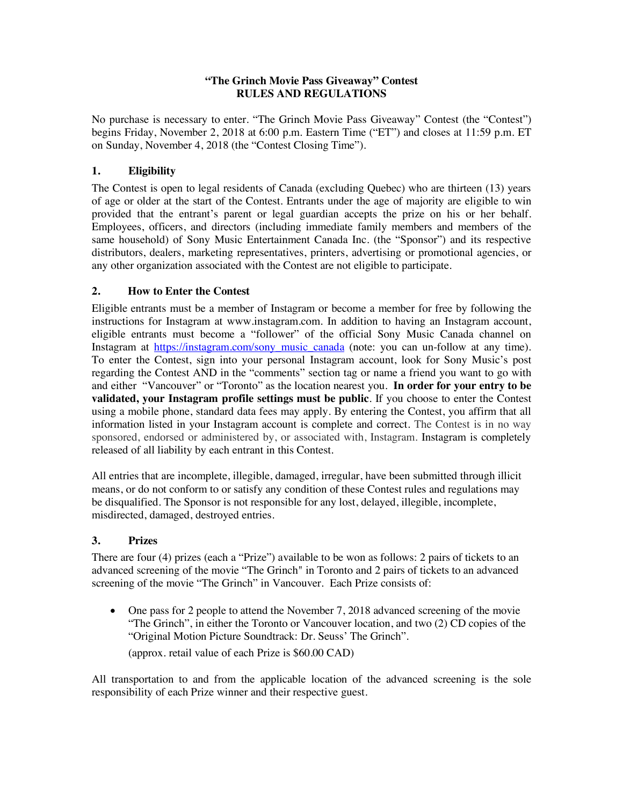### **"The Grinch Movie Pass Giveaway" Contest RULES AND REGULATIONS**

No purchase is necessary to enter. "The Grinch Movie Pass Giveaway" Contest (the "Contest") begins Friday, November 2, 2018 at 6:00 p.m. Eastern Time ("ET") and closes at 11:59 p.m. ET on Sunday, November 4, 2018 (the "Contest Closing Time").

# **1. Eligibility**

The Contest is open to legal residents of Canada (excluding Quebec) who are thirteen (13) years of age or older at the start of the Contest. Entrants under the age of majority are eligible to win provided that the entrant's parent or legal guardian accepts the prize on his or her behalf. Employees, officers, and directors (including immediate family members and members of the same household) of Sony Music Entertainment Canada Inc. (the "Sponsor") and its respective distributors, dealers, marketing representatives, printers, advertising or promotional agencies, or any other organization associated with the Contest are not eligible to participate.

## **2. How to Enter the Contest**

Eligible entrants must be a member of Instagram or become a member for free by following the instructions for Instagram at www.instagram.com. In addition to having an Instagram account, eligible entrants must become a "follower" of the official Sony Music Canada channel on Instagram at https://instagram.com/sony\_music\_canada (note: you can un-follow at any time). To enter the Contest, sign into your personal Instagram account, look for Sony Music's post regarding the Contest AND in the "comments" section tag or name a friend you want to go with and either "Vancouver" or "Toronto" as the location nearest you. **In order for your entry to be validated, your Instagram profile settings must be public**. If you choose to enter the Contest using a mobile phone, standard data fees may apply. By entering the Contest, you affirm that all information listed in your Instagram account is complete and correct. The Contest is in no way sponsored, endorsed or administered by, or associated with, Instagram. Instagram is completely released of all liability by each entrant in this Contest.

All entries that are incomplete, illegible, damaged, irregular, have been submitted through illicit means, or do not conform to or satisfy any condition of these Contest rules and regulations may be disqualified. The Sponsor is not responsible for any lost, delayed, illegible, incomplete, misdirected, damaged, destroyed entries.

### **3. Prizes**

There are four (4) prizes (each a "Prize") available to be won as follows: 2 pairs of tickets to an advanced screening of the movie "The Grinch" in Toronto and 2 pairs of tickets to an advanced screening of the movie "The Grinch" in Vancouver. Each Prize consists of:

• One pass for 2 people to attend the November 7, 2018 advanced screening of the movie "The Grinch", in either the Toronto or Vancouver location, and two (2) CD copies of the "Original Motion Picture Soundtrack: Dr. Seuss' The Grinch".

(approx. retail value of each Prize is \$60.00 CAD)

All transportation to and from the applicable location of the advanced screening is the sole responsibility of each Prize winner and their respective guest.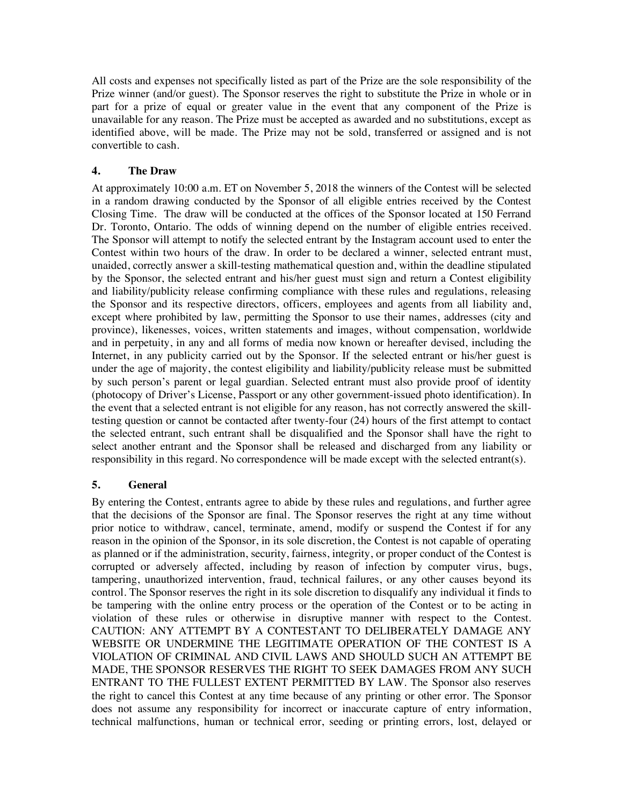All costs and expenses not specifically listed as part of the Prize are the sole responsibility of the Prize winner (and/or guest). The Sponsor reserves the right to substitute the Prize in whole or in part for a prize of equal or greater value in the event that any component of the Prize is unavailable for any reason. The Prize must be accepted as awarded and no substitutions, except as identified above, will be made. The Prize may not be sold, transferred or assigned and is not convertible to cash.

### **4. The Draw**

At approximately 10:00 a.m. ET on November 5, 2018 the winners of the Contest will be selected in a random drawing conducted by the Sponsor of all eligible entries received by the Contest Closing Time. The draw will be conducted at the offices of the Sponsor located at 150 Ferrand Dr. Toronto, Ontario. The odds of winning depend on the number of eligible entries received. The Sponsor will attempt to notify the selected entrant by the Instagram account used to enter the Contest within two hours of the draw. In order to be declared a winner, selected entrant must, unaided, correctly answer a skill-testing mathematical question and, within the deadline stipulated by the Sponsor, the selected entrant and his/her guest must sign and return a Contest eligibility and liability/publicity release confirming compliance with these rules and regulations, releasing the Sponsor and its respective directors, officers, employees and agents from all liability and, except where prohibited by law, permitting the Sponsor to use their names, addresses (city and province), likenesses, voices, written statements and images, without compensation, worldwide and in perpetuity, in any and all forms of media now known or hereafter devised, including the Internet, in any publicity carried out by the Sponsor. If the selected entrant or his/her guest is under the age of majority, the contest eligibility and liability/publicity release must be submitted by such person's parent or legal guardian. Selected entrant must also provide proof of identity (photocopy of Driver's License, Passport or any other government-issued photo identification). In the event that a selected entrant is not eligible for any reason, has not correctly answered the skilltesting question or cannot be contacted after twenty-four (24) hours of the first attempt to contact the selected entrant, such entrant shall be disqualified and the Sponsor shall have the right to select another entrant and the Sponsor shall be released and discharged from any liability or responsibility in this regard. No correspondence will be made except with the selected entrant(s).

### **5. General**

By entering the Contest, entrants agree to abide by these rules and regulations, and further agree that the decisions of the Sponsor are final. The Sponsor reserves the right at any time without prior notice to withdraw, cancel, terminate, amend, modify or suspend the Contest if for any reason in the opinion of the Sponsor, in its sole discretion, the Contest is not capable of operating as planned or if the administration, security, fairness, integrity, or proper conduct of the Contest is corrupted or adversely affected, including by reason of infection by computer virus, bugs, tampering, unauthorized intervention, fraud, technical failures, or any other causes beyond its control. The Sponsor reserves the right in its sole discretion to disqualify any individual it finds to be tampering with the online entry process or the operation of the Contest or to be acting in violation of these rules or otherwise in disruptive manner with respect to the Contest. CAUTION: ANY ATTEMPT BY A CONTESTANT TO DELIBERATELY DAMAGE ANY WEBSITE OR UNDERMINE THE LEGITIMATE OPERATION OF THE CONTEST IS A VIOLATION OF CRIMINAL AND CIVIL LAWS AND SHOULD SUCH AN ATTEMPT BE MADE, THE SPONSOR RESERVES THE RIGHT TO SEEK DAMAGES FROM ANY SUCH ENTRANT TO THE FULLEST EXTENT PERMITTED BY LAW. The Sponsor also reserves the right to cancel this Contest at any time because of any printing or other error. The Sponsor does not assume any responsibility for incorrect or inaccurate capture of entry information, technical malfunctions, human or technical error, seeding or printing errors, lost, delayed or